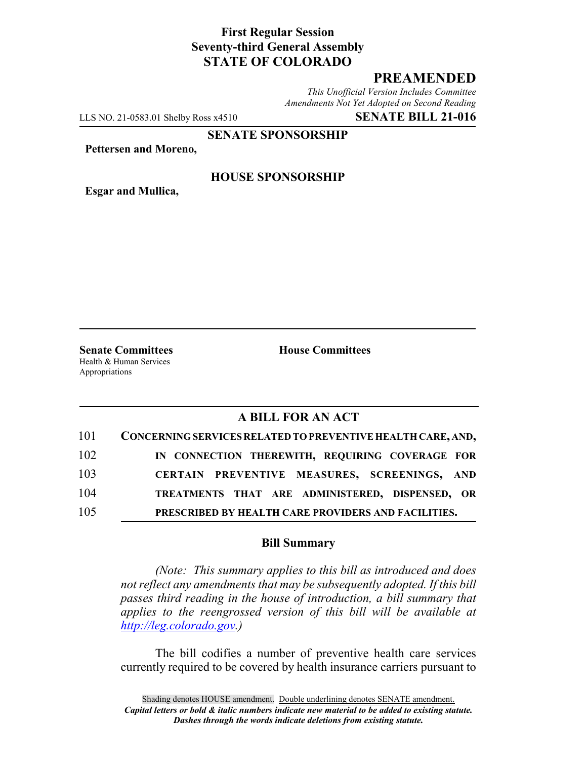# **First Regular Session Seventy-third General Assembly STATE OF COLORADO**

# **PREAMENDED**

*This Unofficial Version Includes Committee Amendments Not Yet Adopted on Second Reading*

LLS NO. 21-0583.01 Shelby Ross x4510 **SENATE BILL 21-016**

**SENATE SPONSORSHIP**

**Pettersen and Moreno,**

**Esgar and Mullica,**

#### **HOUSE SPONSORSHIP**

**Senate Committees House Committees** Health & Human Services Appropriations

# **A BILL FOR AN ACT**

| 101 | CONCERNING SERVICES RELATED TO PREVENTIVE HEALTH CARE, AND, |
|-----|-------------------------------------------------------------|
| 102 | IN CONNECTION THEREWITH, REQUIRING COVERAGE FOR             |
| 103 | CERTAIN PREVENTIVE MEASURES, SCREENINGS, AND                |
| 104 | TREATMENTS THAT ARE ADMINISTERED, DISPENSED, OR             |
| 105 | PRESCRIBED BY HEALTH CARE PROVIDERS AND FACILITIES.         |

#### **Bill Summary**

*(Note: This summary applies to this bill as introduced and does not reflect any amendments that may be subsequently adopted. If this bill passes third reading in the house of introduction, a bill summary that applies to the reengrossed version of this bill will be available at http://leg.colorado.gov.)*

The bill codifies a number of preventive health care services currently required to be covered by health insurance carriers pursuant to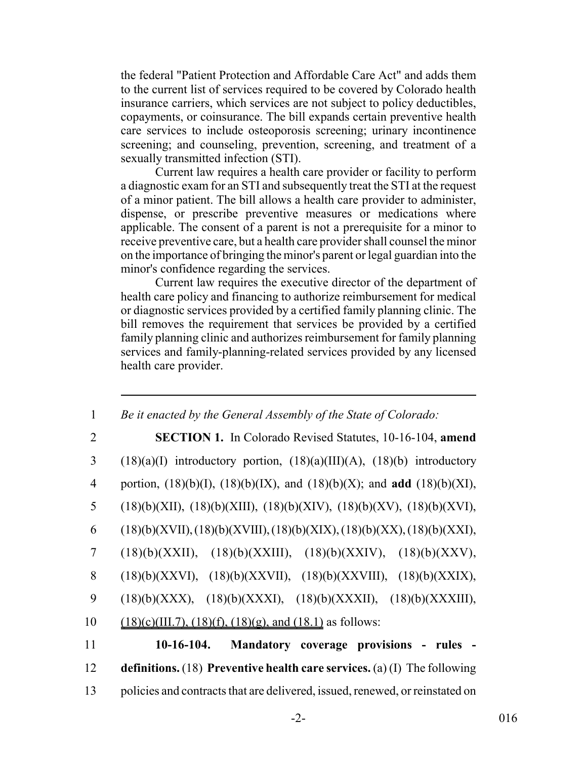the federal "Patient Protection and Affordable Care Act" and adds them to the current list of services required to be covered by Colorado health insurance carriers, which services are not subject to policy deductibles, copayments, or coinsurance. The bill expands certain preventive health care services to include osteoporosis screening; urinary incontinence screening; and counseling, prevention, screening, and treatment of a sexually transmitted infection (STI).

Current law requires a health care provider or facility to perform a diagnostic exam for an STI and subsequently treat the STI at the request of a minor patient. The bill allows a health care provider to administer, dispense, or prescribe preventive measures or medications where applicable. The consent of a parent is not a prerequisite for a minor to receive preventive care, but a health care provider shall counsel the minor on the importance of bringing the minor's parent or legal guardian into the minor's confidence regarding the services.

Current law requires the executive director of the department of health care policy and financing to authorize reimbursement for medical or diagnostic services provided by a certified family planning clinic. The bill removes the requirement that services be provided by a certified family planning clinic and authorizes reimbursement for family planning services and family-planning-related services provided by any licensed health care provider.

| 1  | Be it enacted by the General Assembly of the State of Colorado:                           |
|----|-------------------------------------------------------------------------------------------|
| 2  | <b>SECTION 1.</b> In Colorado Revised Statutes, 10-16-104, amend                          |
| 3  | $(18)(a)(I)$ introductory portion, $(18)(a)(III)(A)$ , $(18)(b)$ introductory             |
| 4  | portion, $(18)(b)(I)$ , $(18)(b)(IX)$ , and $(18)(b)(X)$ ; and <b>add</b> $(18)(b)(XI)$ , |
| 5  | $(18)(b)(XII), (18)(b)(XIII), (18)(b)(XIV), (18)(b)(XV), (18)(b)(XVI),$                   |
| 6  | $(18)(b)(XVII), (18)(b)(XVIII), (18)(b)(XIX), (18)(b)(XX), (18)(b)(XXI),$                 |
| 7  | $(18)(b)(XXII), (18)(b)(XXIII), (18)(b)(XXIV), (18)(b)(XXXV),$                            |
| 8  | $(18)(b)(XXX)$ , $(18)(b)(XXX)$ , $(18)(b)(XXX)$ , $(18)(b)(XXX)$ ,                       |
| 9  | $(18)(b)(XXX), (18)(b)(XXX), (18)(b)(XXXII), (18)(b)(XXXIII),$                            |
| 10 | $(18)(c)(III.7), (18)(f), (18)(g), and (18.1)$ as follows:                                |
| 11 | $10-16-104.$<br>Mandatory coverage provisions - rules                                     |
| 12 | definitions. $(18)$ Preventive health care services. $(a)$ (I) The following              |
| 13 | policies and contracts that are delivered, issued, renewed, or reinstated on              |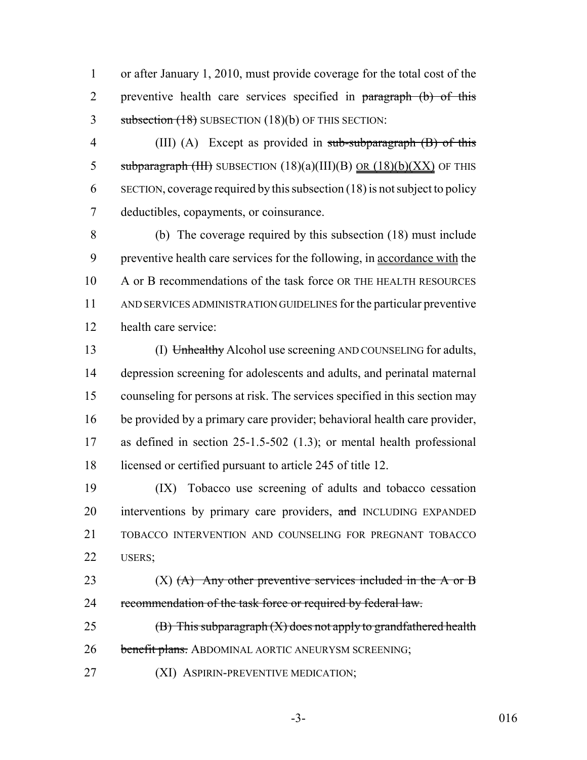or after January 1, 2010, must provide coverage for the total cost of the 2 preventive health care services specified in paragraph (b) of this 3 subsection (18) SUBSECTION (18)(b) OF THIS SECTION:

4 (III) (A) Except as provided in sub-subparagraph (B) of this 5 subparagraph (III) SUBSECTION  $(18)(a)(III)(B)$  <u>OR  $(18)(b)(XX)$ </u> OF THIS SECTION, coverage required by this subsection (18) is not subject to policy deductibles, copayments, or coinsurance.

 (b) The coverage required by this subsection (18) must include 9 preventive health care services for the following, in accordance with the A or B recommendations of the task force OR THE HEALTH RESOURCES AND SERVICES ADMINISTRATION GUIDELINES for the particular preventive health care service:

 (I) Unhealthy Alcohol use screening AND COUNSELING for adults, depression screening for adolescents and adults, and perinatal maternal counseling for persons at risk. The services specified in this section may be provided by a primary care provider; behavioral health care provider, as defined in section 25-1.5-502 (1.3); or mental health professional licensed or certified pursuant to article 245 of title 12.

 (IX) Tobacco use screening of adults and tobacco cessation 20 interventions by primary care providers, and INCLUDING EXPANDED TOBACCO INTERVENTION AND COUNSELING FOR PREGNANT TOBACCO USERS;

23  $(X)$   $(A)$  Any other preventive services included in the A or B 24 recommendation of the task force or required by federal law.

25  $(B)$  This subparagraph  $(X)$  does not apply to grandfathered health 26 benefit plans. ABDOMINAL AORTIC ANEURYSM SCREENING;

**(XI) ASPIRIN-PREVENTIVE MEDICATION;**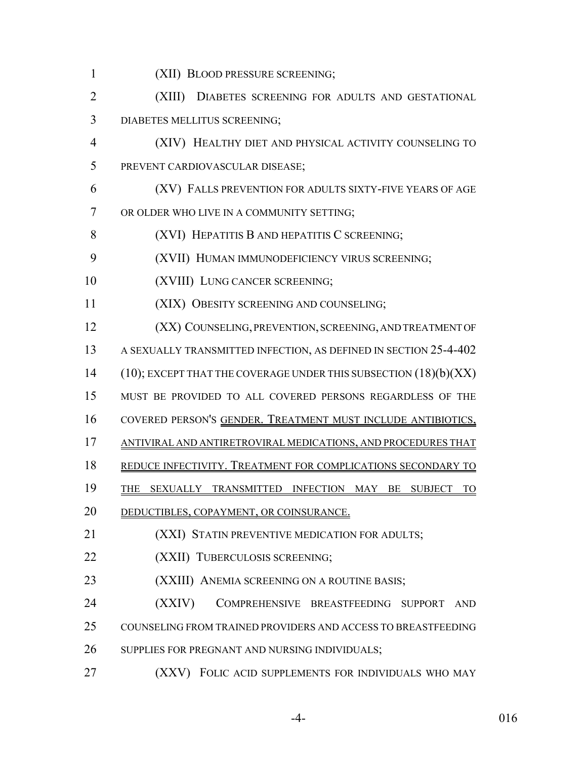- (XII) BLOOD PRESSURE SCREENING;
- (XIII) DIABETES SCREENING FOR ADULTS AND GESTATIONAL DIABETES MELLITUS SCREENING;
- (XIV) HEALTHY DIET AND PHYSICAL ACTIVITY COUNSELING TO PREVENT CARDIOVASCULAR DISEASE;
- (XV) FALLS PREVENTION FOR ADULTS SIXTY-FIVE YEARS OF AGE OR OLDER WHO LIVE IN A COMMUNITY SETTING;
- **(XVI) HEPATITIS B AND HEPATITIS C SCREENING;**
- (XVII) HUMAN IMMUNODEFICIENCY VIRUS SCREENING;
- 10 (XVIII) LUNG CANCER SCREENING;
- (XIX) OBESITY SCREENING AND COUNSELING;
- **(XX) COUNSELING, PREVENTION, SCREENING, AND TREATMENT OF**
- A SEXUALLY TRANSMITTED INFECTION, AS DEFINED IN SECTION 25-4-402
- 14 (10); EXCEPT THAT THE COVERAGE UNDER THIS SUBSECTION (18)(b)(XX)
- MUST BE PROVIDED TO ALL COVERED PERSONS REGARDLESS OF THE
- COVERED PERSON'S GENDER. TREATMENT MUST INCLUDE ANTIBIOTICS,
- ANTIVIRAL AND ANTIRETROVIRAL MEDICATIONS, AND PROCEDURES THAT
- REDUCE INFECTIVITY. TREATMENT FOR COMPLICATIONS SECONDARY TO
- 19 THE SEXUALLY TRANSMITTED INFECTION MAY BE SUBJECT TO
- 20 DEDUCTIBLES, COPAYMENT, OR COINSURANCE.

**(XXI) STATIN PREVENTIVE MEDICATION FOR ADULTS;** 

- **(XXII)** TUBERCULOSIS SCREENING;
- **(XXIII)** ANEMIA SCREENING ON A ROUTINE BASIS;

 (XXIV) COMPREHENSIVE BREASTFEEDING SUPPORT AND COUNSELING FROM TRAINED PROVIDERS AND ACCESS TO BREASTFEEDING 26 SUPPLIES FOR PREGNANT AND NURSING INDIVIDUALS;

(XXV) FOLIC ACID SUPPLEMENTS FOR INDIVIDUALS WHO MAY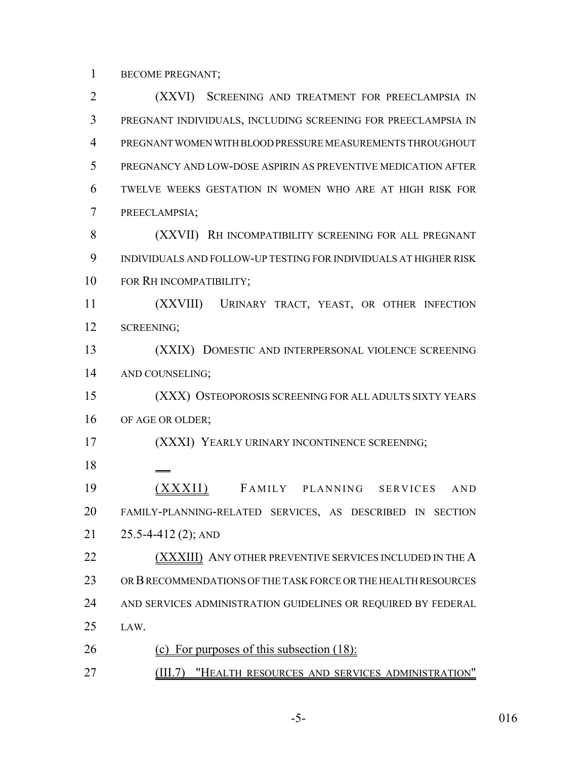BECOME PREGNANT;

 (XXVI) SCREENING AND TREATMENT FOR PREECLAMPSIA IN PREGNANT INDIVIDUALS, INCLUDING SCREENING FOR PREECLAMPSIA IN PREGNANT WOMEN WITH BLOOD PRESSURE MEASUREMENTS THROUGHOUT PREGNANCY AND LOW-DOSE ASPIRIN AS PREVENTIVE MEDICATION AFTER TWELVE WEEKS GESTATION IN WOMEN WHO ARE AT HIGH RISK FOR PREECLAMPSIA; (XXVII) RH INCOMPATIBILITY SCREENING FOR ALL PREGNANT INDIVIDUALS AND FOLLOW-UP TESTING FOR INDIVIDUALS AT HIGHER RISK FOR RH INCOMPATIBILITY; (XXVIII) URINARY TRACT, YEAST, OR OTHER INFECTION SCREENING; (XXIX) DOMESTIC AND INTERPERSONAL VIOLENCE SCREENING AND COUNSELING; (XXX) OSTEOPOROSIS SCREENING FOR ALL ADULTS SIXTY YEARS 16 OF AGE OR OLDER; (XXXI) YEARLY URINARY INCONTINENCE SCREENING; (XXXII) F AMILY PLANNING SERVICES AND FAMILY-PLANNING-RELATED SERVICES, AS DESCRIBED IN SECTION 25.5-4-412 (2); AND **(XXXIII)** ANY OTHER PREVENTIVE SERVICES INCLUDED IN THE A OR B RECOMMENDATIONS OF THE TASK FORCE OR THE HEALTH RESOURCES AND SERVICES ADMINISTRATION GUIDELINES OR REQUIRED BY FEDERAL LAW. (c) For purposes of this subsection (18): (III.7) "HEALTH RESOURCES AND SERVICES ADMINISTRATION"

-5- 016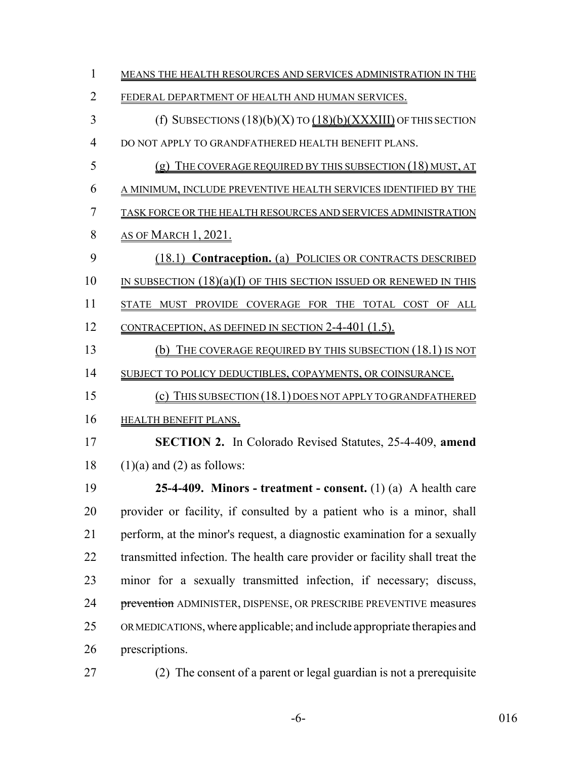| $\mathbf{1}$   | MEANS THE HEALTH RESOURCES AND SERVICES ADMINISTRATION IN THE               |
|----------------|-----------------------------------------------------------------------------|
| $\overline{2}$ | FEDERAL DEPARTMENT OF HEALTH AND HUMAN SERVICES.                            |
| 3              | (f) SUBSECTIONS $(18)(b)(X)$ TO $(18)(b)(XXXIII)$ OF THIS SECTION           |
| 4              | DO NOT APPLY TO GRANDFATHERED HEALTH BENEFIT PLANS.                         |
| 5              | $(g)$ THE COVERAGE REQUIRED BY THIS SUBSECTION (18) MUST, AT                |
| 6              | A MINIMUM, INCLUDE PREVENTIVE HEALTH SERVICES IDENTIFIED BY THE             |
| 7              | TASK FORCE OR THE HEALTH RESOURCES AND SERVICES ADMINISTRATION              |
| 8              | <u>AS OF MARCH 1, 2021.</u>                                                 |
| 9              | (18.1) Contraception. (a) POLICIES OR CONTRACTS DESCRIBED                   |
| 10             | IN SUBSECTION $(18)(a)(I)$ of this section issued or renewed in this        |
| 11             | STATE MUST PROVIDE COVERAGE FOR THE TOTAL COST OF ALL                       |
| 12             | <u>CONTRACEPTION, AS DEFINED IN SECTION 2-4-401 (1.5).</u>                  |
| 13             | (b) THE COVERAGE REQUIRED BY THIS SUBSECTION (18.1) IS NOT                  |
| 14             | SUBJECT TO POLICY DEDUCTIBLES, COPAYMENTS, OR COINSURANCE.                  |
| 15             | (c) THIS SUBSECTION (18.1) DOES NOT APPLY TO GRANDFATHERED                  |
| 16             | <b>HEALTH BENEFIT PLANS.</b>                                                |
| 17             | SECTION 2. In Colorado Revised Statutes, 25-4-409, amend                    |
| 18             | $(1)(a)$ and $(2)$ as follows:                                              |
| 19             | 25-4-409. Minors - treatment - consent. $(1)$ (a) A health care             |
| 20             | provider or facility, if consulted by a patient who is a minor, shall       |
| 21             | perform, at the minor's request, a diagnostic examination for a sexually    |
| 22             | transmitted infection. The health care provider or facility shall treat the |
| 23             | minor for a sexually transmitted infection, if necessary; discuss,          |
| 24             | prevention ADMINISTER, DISPENSE, OR PRESCRIBE PREVENTIVE measures           |
| 25             | ORMEDICATIONS, where applicable; and include appropriate therapies and      |
| 26             | prescriptions.                                                              |
| 27             | (2) The consent of a parent or legal guardian is not a prerequisite         |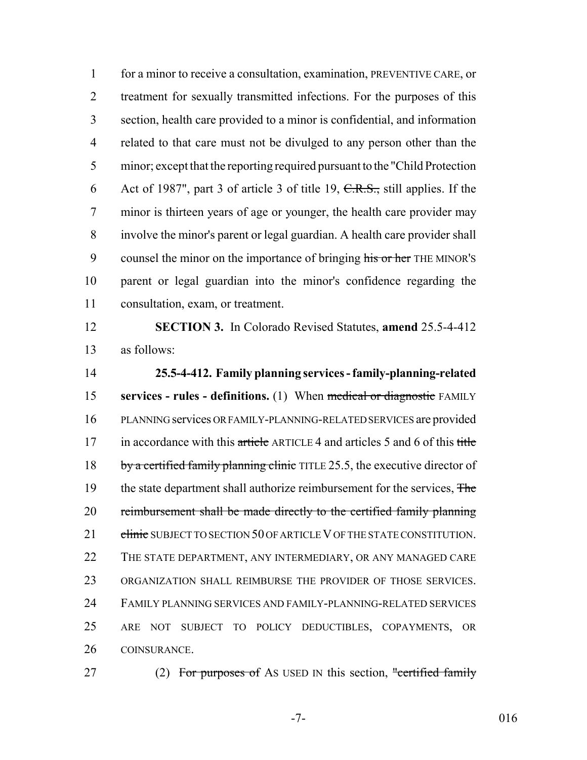1 for a minor to receive a consultation, examination, PREVENTIVE CARE, or 2 treatment for sexually transmitted infections. For the purposes of this section, health care provided to a minor is confidential, and information related to that care must not be divulged to any person other than the minor; except that the reporting required pursuant to the "Child Protection 6 Act of 1987", part 3 of article 3 of title 19,  $C.R.S.,$  still applies. If the minor is thirteen years of age or younger, the health care provider may involve the minor's parent or legal guardian. A health care provider shall 9 counsel the minor on the importance of bringing his or her THE MINOR'S parent or legal guardian into the minor's confidence regarding the consultation, exam, or treatment.

 **SECTION 3.** In Colorado Revised Statutes, **amend** 25.5-4-412 as follows:

 **25.5-4-412. Family planning services - family-planning-related services - rules - definitions.** (1) When medical or diagnostic FAMILY PLANNING services OR FAMILY-PLANNING-RELATED SERVICES are provided 17 in accordance with this article ARTICLE 4 and articles 5 and 6 of this title 18 by a certified family planning clinic TITLE 25.5, the executive director of 19 the state department shall authorize reimbursement for the services, The 20 reimbursement shall be made directly to the certified family planning 21 clinic SUBJECT TO SECTION 50 OF ARTICLE V OF THE STATE CONSTITUTION. THE STATE DEPARTMENT, ANY INTERMEDIARY, OR ANY MANAGED CARE ORGANIZATION SHALL REIMBURSE THE PROVIDER OF THOSE SERVICES. FAMILY PLANNING SERVICES AND FAMILY-PLANNING-RELATED SERVICES ARE NOT SUBJECT TO POLICY DEDUCTIBLES, COPAYMENTS, OR COINSURANCE.

27 (2) For purposes of As USED IN this section, "certified family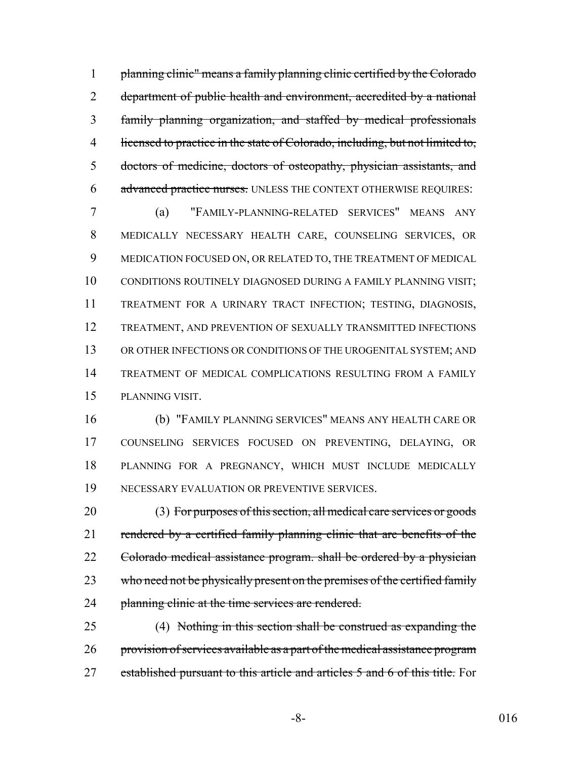planning clinic" means a family planning clinic certified by the Colorado department of public health and environment, accredited by a national family planning organization, and staffed by medical professionals 4 licensed to practice in the state of Colorado, including, but not limited to, doctors of medicine, doctors of osteopathy, physician assistants, and 6 advanced practice nurses. UNLESS THE CONTEXT OTHERWISE REQUIRES:

 (a) "FAMILY-PLANNING-RELATED SERVICES" MEANS ANY MEDICALLY NECESSARY HEALTH CARE, COUNSELING SERVICES, OR MEDICATION FOCUSED ON, OR RELATED TO, THE TREATMENT OF MEDICAL CONDITIONS ROUTINELY DIAGNOSED DURING A FAMILY PLANNING VISIT; TREATMENT FOR A URINARY TRACT INFECTION; TESTING, DIAGNOSIS, TREATMENT, AND PREVENTION OF SEXUALLY TRANSMITTED INFECTIONS OR OTHER INFECTIONS OR CONDITIONS OF THE UROGENITAL SYSTEM; AND TREATMENT OF MEDICAL COMPLICATIONS RESULTING FROM A FAMILY PLANNING VISIT.

 (b) "FAMILY PLANNING SERVICES" MEANS ANY HEALTH CARE OR COUNSELING SERVICES FOCUSED ON PREVENTING, DELAYING, OR PLANNING FOR A PREGNANCY, WHICH MUST INCLUDE MEDICALLY NECESSARY EVALUATION OR PREVENTIVE SERVICES.

 (3) For purposes of this section, all medical care services or goods 21 rendered by a certified family planning clinic that are benefits of the 22 Colorado medical assistance program. shall be ordered by a physician 23 who need not be physically present on the premises of the certified family 24 planning clinic at the time services are rendered.

 (4) Nothing in this section shall be construed as expanding the 26 provision of services available as a part of the medical assistance program 27 established pursuant to this article and articles 5 and 6 of this title. For